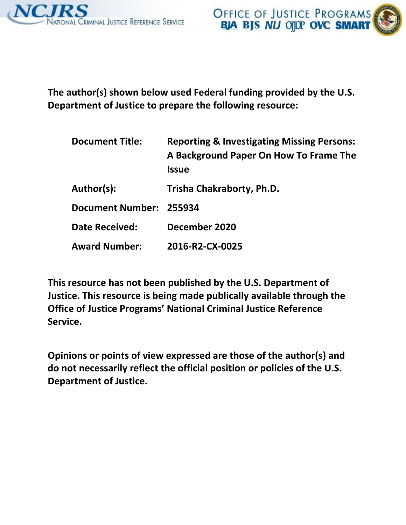

**The author(s) shown below used Federal funding provided by the U.S. Department of Justice to prepare the following resource:**

| <b>Document Title:</b>  | <b>Reporting &amp; Investigating Missing Persons:</b><br>A Background Paper On How To Frame The<br><b>Issue</b> |
|-------------------------|-----------------------------------------------------------------------------------------------------------------|
| Author(s):              | Trisha Chakraborty, Ph.D.                                                                                       |
| Document Number: 255934 |                                                                                                                 |
| <b>Date Received:</b>   | December 2020                                                                                                   |
| <b>Award Number:</b>    | 2016-R2-CX-0025                                                                                                 |

**This resource has not been published by the U.S. Department of Justice. This resource is being made publically available through the Office of Justice Programs' National Criminal Justice Reference Service.**

**Opinions or points of view expressed are those of the author(s) and do not necessarily reflect the official position or policies of the U.S. Department of Justice.**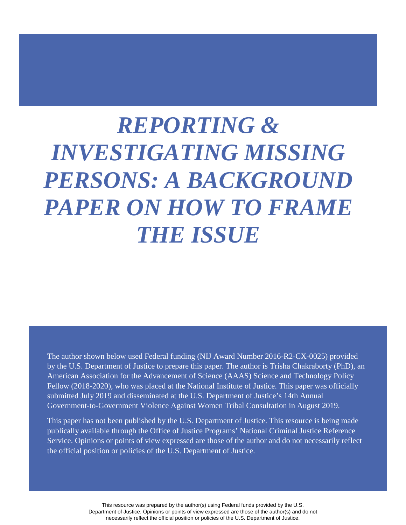# *REPORTING & INVESTIGATING MISSING PERSONS: A BACKGROUND PAPER ON HOW TO FRAME THE ISSUE*

The author shown below used Federal funding (NIJ Award Number 2016-R2-CX-0025) provided by the U.S. Department of Justice to prepare this paper. The author is Trisha Chakraborty (PhD), an American Association for the Advancement of Science (AAAS) Science and Technology Policy Fellow (2018-2020), who was placed at the National Institute of Justice. This paper was officially submitted July 2019 and disseminated at the U.S. Department of Justice's 14th Annual Government-to-Government Violence Against Women Tribal Consultation in August 2019.

 Service. Opinions or points of view expressed are those of the author and do not necessarily reflect This paper has not been published by the U.S. Department of Justice. This resource is being made publically available through the Office of Justice Programs' National Criminal Justice Reference the official position or policies of the U.S. Department of Justice.

> This resource was prepared by the author(s) using Federal funds provided by the U.S. Department of Justice. Opinions or points of view expressed are those of the author(s) and do not necessarily reflect the official position or policies of the U.S. Department of Justice.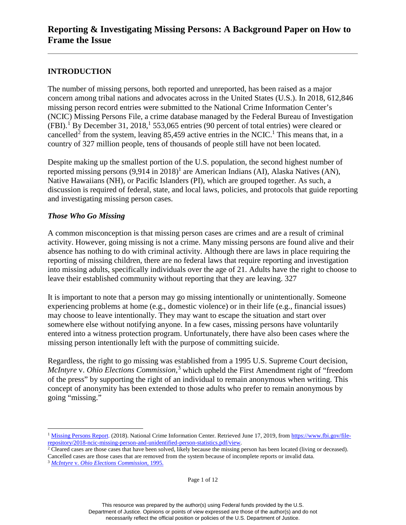## **INTRODUCTION**

The number of missing persons, both reported and unreported, has been raised as a major concern among tribal nations and advocates across in the United States (U.S.). In 2018, 612,846 missing person record entries were submitted to the National Crime Information Center's (NCIC) Missing Persons File, a crime database managed by the Federal Bureau of Investigation  $(FBI)$ .<sup>[1](#page-2-0)</sup> By December 31, 2018,<sup>1</sup> 553,065 entries (90 percent of total entries) were cleared or cancelled<sup>[2](#page-2-1)</sup> from the system, leaving 85,459 active entries in the NCIC.<sup>1</sup> This means that, in a country of 327 million people, tens of thousands of people still have not been located.

Despite making up the smallest portion of the U.S. population, the second highest number of reported missing persons  $(9.914 \text{ in } 2018)^1$  are American Indians (AI), Alaska Natives (AN), Native Hawaiians (NH), or Pacific Islanders (PI), which are grouped together. As such, a discussion is required of federal, state, and local laws, policies, and protocols that guide reporting and investigating missing person cases.

#### *Those Who Go Missing*

A common misconception is that missing person cases are crimes and are a result of criminal activity. However, going missing is not a crime. Many missing persons are found alive and their absence has nothing to do with criminal activity. Although there are laws in place requiring the reporting of missing children, there are no federal laws that require reporting and investigation into missing adults, specifically individuals over the age of 21. Adults have the right to choose to leave their established community without reporting that they are leaving. 327

It is important to note that a person may go missing intentionally or unintentionally. Someone experiencing problems at home (e.g., domestic violence) or in their life (e.g., financial issues) may choose to leave intentionally. They may want to escape the situation and start over somewhere else without notifying anyone. In a few cases, missing persons have voluntarily entered into a witness protection program. Unfortunately, there have also been cases where the missing person intentionally left with the purpose of committing suicide.

Regardless, the right to go missing was established from a 1995 U.S. Supreme Court decision, *McIntyre* v. *Ohio Elections Commission*, [3](#page-2-2) which upheld the First Amendment right of "freedom of the press" by supporting the right of an individual to remain anonymous when writing. This concept of anonymity has been extended to those adults who prefer to remain anonymous by going "missing."

<span id="page-2-2"></span>

 $\overline{a}$ 

<span id="page-2-0"></span><sup>&</sup>lt;sup>1</sup> [Missing Persons Report.](https://www.fbi.gov/file-repository/2018-ncic-missing-person-and-unidentified-person-statistics.pdf/view) (2018). National Crime Information Center. Retrieved June 17, 2019, from https://www.fbi.gov/file-repository/2018-ncic-missing-person-and-unidentified-person-statistics.pdf/view.

<span id="page-2-1"></span><sup>&</sup>lt;sup>2</sup> Cleared cases are those cases that have been solved, likely because the missing person has been located (living or deceased). Cancelled cases are those cases that are removed from the system because of incomplete reports or invalid data. 3 *McIntyre* v. *Ohio Elections Commission,* 1995.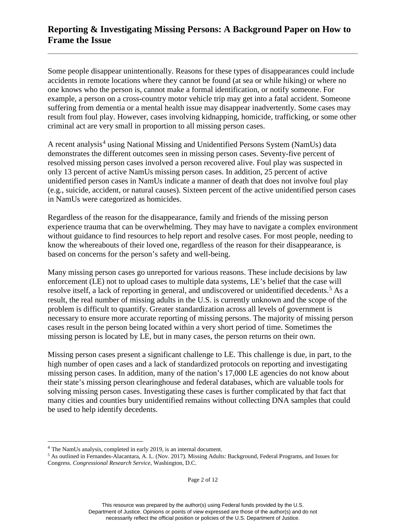Some people disappear unintentionally. Reasons for these types of disappearances could include accidents in remote locations where they cannot be found (at sea or while hiking) or where no one knows who the person is, cannot make a formal identification, or notify someone. For example, a person on a cross-country motor vehicle trip may get into a fatal accident. Someone suffering from dementia or a mental health issue may disappear inadvertently. Some cases may result from foul play. However, cases involving kidnapping, homicide, trafficking, or some other criminal act are very small in proportion to all missing person cases.

A recent analysis<sup>[4](#page-3-0)</sup> using National Missing and Unidentified Persons System (NamUs) data demonstrates the different outcomes seen in missing person cases. Seventy-five percent of resolved missing person cases involved a person recovered alive. Foul play was suspected in only 13 percent of active NamUs missing person cases. In addition, 25 percent of active unidentified person cases in NamUs indicate a manner of death that does not involve foul play (e.g., suicide, accident, or natural causes). Sixteen percent of the active unidentified person cases in NamUs were categorized as homicides.

Regardless of the reason for the disappearance, family and friends of the missing person experience trauma that can be overwhelming. They may have to navigate a complex environment without guidance to find resources to help report and resolve cases. For most people, needing to know the whereabouts of their loved one, regardless of the reason for their disappearance, is based on concerns for the person's safety and well-being.

Many missing person cases go unreported for various reasons. These include decisions by law enforcement (LE) not to upload cases to multiple data systems, LE's belief that the case will resolve itself, a lack of reporting in general, and undiscovered or unidentified decedents.<sup>[5](#page-3-1)</sup> As a result, the real number of missing adults in the U.S. is currently unknown and the scope of the problem is difficult to quantify. Greater standardization across all levels of government is necessary to ensure more accurate reporting of missing persons. The majority of missing person cases result in the person being located within a very short period of time. Sometimes the missing person is located by LE, but in many cases, the person returns on their own.

Missing person cases present a significant challenge to LE. This challenge is due, in part, to the high number of open cases and a lack of standardized protocols on reporting and investigating missing person cases. In addition, many of the nation's 17,000 LE agencies do not know about their state's missing person clearinghouse and federal databases, which are valuable tools for solving missing person cases. Investigating these cases is further complicated by that fact that many cities and counties bury unidentified remains without collecting DNA samples that could be used to help identify decedents.

 $\overline{a}$ 

<span id="page-3-0"></span><sup>4</sup> The NamUs analysis, completed in early 2019, is an internal document.

<span id="page-3-1"></span><sup>5</sup> As outlined in Fernandes-Alacantara, A. L. (Nov. 2017). Missing Adults: Background, Federal Programs, and Issues for Congress. *Congressional Research Service*, Washington, D.C.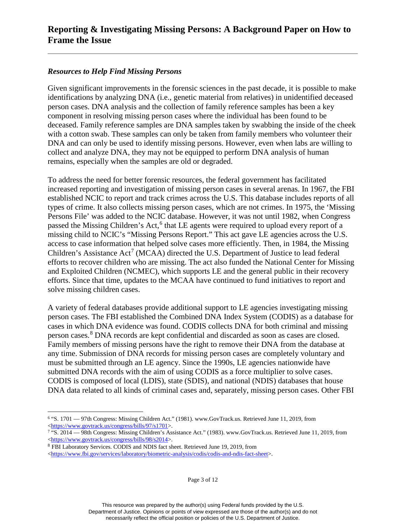#### *Resources to Help Find Missing Persons*

Given significant improvements in the forensic sciences in the past decade, it is possible to make identifications by analyzing DNA (i.e., genetic material from relatives) in unidentified deceased person cases. DNA analysis and the collection of family reference samples has been a key component in resolving missing person cases where the individual has been found to be deceased. Family reference samples are DNA samples taken by swabbing the inside of the cheek with a cotton swab. These samples can only be taken from family members who volunteer their DNA and can only be used to identify missing persons. However, even when labs are willing to collect and analyze DNA, they may not be equipped to perform DNA analysis of human remains, especially when the samples are old or degraded.

To address the need for better forensic resources, the federal government has facilitated increased reporting and investigation of missing person cases in several arenas. In 1967, the FBI established NCIC to report and track crimes across the U.S. This database includes reports of all types of crime. It also collects missing person cases, which are not crimes. In 1975, the 'Missing Persons File' was added to the NCIC database. However, it was not until 1982, when Congress passed the Missing Children's Act,<sup>[6](#page-4-0)</sup> that LE agents were required to upload every report of a missing child to NCIC's "Missing Persons Report." This act gave LE agencies across the U.S. access to case information that helped solve cases more efficiently. Then, in 1984, the Missing Children's Assistance Act<sup>[7](#page-4-1)</sup> (MCAA) directed the U.S. Department of Justice to lead federal efforts to recover children who are missing. The act also funded the National Center for Missing and Exploited Children (NCMEC), which supports LE and the general public in their recovery efforts. Since that time, updates to the MCAA have continued to fund initiatives to report and solve missing children cases.

A variety of federal databases provide additional support to LE agencies investigating missing person cases. The FBI established the Combined DNA Index System (CODIS) as a database for cases in which DNA evidence was found. CODIS collects DNA for both criminal and missing person cases.<sup>[8](#page-4-2)</sup> DNA records are kept confidential and discarded as soon as cases are closed. Family members of missing persons have the right to remove their DNA from the database at any time. Submission of DNA records for missing person cases are completely voluntary and must be submitted through an LE agency. Since the 1990s, LE agencies nationwide have submitted DNA records with the aim of using CODIS as a force multiplier to solve cases. CODIS is composed of local (LDIS), state (SDIS), and national (NDIS) databases that house DNA data related to all kinds of criminal cases and, separately, missing person cases. Other FBI

<span id="page-4-2"></span><sup>8</sup> FBI Laboratory Services. CODIS and NDIS fact sheet. Retrieved June 19, 2019, from

Page 3 of 12

<span id="page-4-0"></span> $\overline{a}$ <sup>6</sup> "S. 1701 — 97th Congress: Missing Children Act." (1981). www.GovTrack.us. Retrieved June 11, 2019, from [<https://www.govtrack.us/congress/bills/97/s1701>](https://www.govtrack.us/congress/bills/97/s1701).

<span id="page-4-1"></span><sup>7</sup> "S. 2014 — 98th Congress: Missing Children's Assistance Act." (1983). www.GovTrack.us. Retrieved June 11, 2019, from [<https://www.govtrack.us/congress/bills/98/s2014>](https://www.govtrack.us/congress/bills/98/s2014).

[<sup>&</sup>lt;https://www.fbi.gov/services/laboratory/biometric-analysis/codis/codis-and-ndis-fact-sheet>](https://www.fbi.gov/services/laboratory/biometric-analysis/codis/codis-and-ndis-fact-sheet).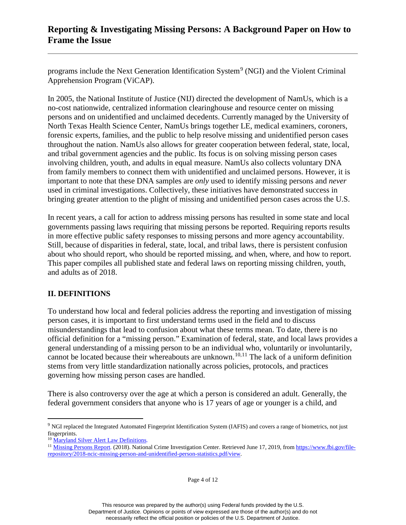programs include the Next Generation Identification System<sup>[9](#page-5-0)</sup> (NGI) and the Violent Criminal Apprehension Program (ViCAP).

In 2005, the National Institute of Justice (NIJ) directed the development of NamUs, which is a no-cost nationwide, centralized information clearinghouse and resource center on missing persons and on unidentified and unclaimed decedents. Currently managed by the University of North Texas Health Science Center, NamUs brings together LE, medical examiners, coroners, forensic experts, families, and the public to help resolve missing and unidentified person cases throughout the nation. NamUs also allows for greater cooperation between federal, state, local, and tribal government agencies and the public. Its focus is on solving missing person cases involving children, youth, and adults in equal measure. NamUs also collects voluntary DNA from family members to connect them with unidentified and unclaimed persons. However, it is important to note that these DNA samples are *only* used to identify missing persons and *never* used in criminal investigations. Collectively, these initiatives have demonstrated success in bringing greater attention to the plight of missing and unidentified person cases across the U.S.

In recent years, a call for action to address missing persons has resulted in some state and local governments passing laws requiring that missing persons be reported. Requiring reports results in more effective public safety responses to missing persons and more agency accountability. Still, because of disparities in federal, state, local, and tribal laws, there is persistent confusion about who should report, who should be reported missing, and when, where, and how to report. This paper compiles all published state and federal laws on reporting missing children, youth, and adults as of 2018.

#### **II. DEFINITIONS**

To understand how local and federal policies address the reporting and investigation of missing person cases, it is important to first understand terms used in the field and to discuss misunderstandings that lead to confusion about what these terms mean. To date, there is no official definition for a "missing person." Examination of federal, state, and local laws provides a general understanding of a missing person to be an individual who, voluntarily or involuntarily, cannot be located because their whereabouts are unknown.<sup>[10,](#page-5-1)[11](#page-5-2)</sup> The lack of a uniform definition stems from very little standardization nationally across policies, protocols, and practices governing how missing person cases are handled.

There is also controversy over the age at which a person is considered an adult. Generally, the federal government considers that anyone who is 17 years of age or younger is a child, and

 $\overline{a}$ 

<span id="page-5-0"></span><sup>&</sup>lt;sup>9</sup> NGI replaced the Integrated Automated Fingerprint Identification System (IAFIS) and covers a range of biometrics, not just fingerprints.

<sup>&</sup>lt;sup>10</sup> [Maryland Silver Alert Law Definitions.](https://mdsp.maryland.gov/Organization/Pages/CriminalInvestigationBureau/CriminalEnforcementDivision/SilverAlert.aspx)

<span id="page-5-2"></span><span id="page-5-1"></span><sup>&</sup>lt;sup>11</sup> [Missing Persons Report.](https://www.fbi.gov/file-repository/2018-ncic-missing-person-and-unidentified-person-statistics.pdf/view) (2018). National Crime Investigation Center. Retrieved June 17, 2019, fro[m https://www.fbi.gov/file](https://www.fbi.gov/file-repository/2018-ncic-missing-person-and-unidentified-person-statistics.pdf/view)[repository/2018-ncic-missing-person-and-unidentified-person-statistics.pdf/view.](https://www.fbi.gov/file-repository/2018-ncic-missing-person-and-unidentified-person-statistics.pdf/view)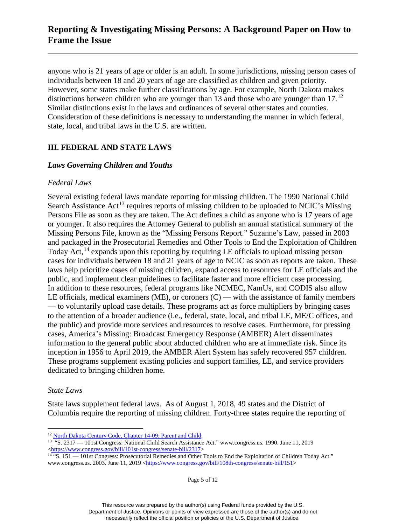anyone who is 21 years of age or older is an adult. In some jurisdictions, missing person cases of individuals between 18 and 20 years of age are classified as children and given priority. However, some states make further classifications by age. For example, North Dakota makes distinctions between children who are younger than 13 and those who are younger than 17.<sup>[12](#page-6-0)</sup> Similar distinctions exist in the laws and ordinances of several other states and counties. Consideration of these definitions is necessary to understanding the manner in which federal, state, local, and tribal laws in the U.S. are written.

#### **III. FEDERAL AND STATE LAWS**

#### *Laws Governing Children and Youths*

#### *Federal Laws*

Several existing federal laws mandate reporting for missing children. The 1990 National Child Search Assistance Act<sup>13</sup> requires reports of missing children to be uploaded to NCIC's Missing Persons File as soon as they are taken. The Act defines a child as anyone who is 17 years of age or younger. It also requires the Attorney General to publish an annual statistical summary of the Missing Persons File, known as the "Missing Persons Report." Suzanne's Law, passed in 2003 and packaged in the Prosecutorial Remedies and Other Tools to End the Exploitation of Children Today Act,<sup>14</sup> expands upon this reporting by requiring LE officials to upload missing person cases for individuals between 18 and 21 years of age to NCIC as soon as reports are taken. These laws help prioritize cases of missing children, expand access to resources for LE officials and the public, and implement clear guidelines to facilitate faster and more efficient case processing. In addition to these resources, federal programs like NCMEC, NamUs, and CODIS also allow LE officials, medical examiners (ME), or coroners  $(C)$  — with the assistance of family members — to voluntarily upload case details. These programs act as force multipliers by bringing cases to the attention of a broader audience (i.e., federal, state, local, and tribal LE, ME/C offices, and the public) and provide more services and resources to resolve cases. Furthermore, for pressing cases, America's Missing: Broadcast Emergency Response (AMBER) Alert disseminates information to the general public about abducted children who are at immediate risk. Since its inception in 1956 to April 2019, the AMBER Alert System has safely recovered 957 children. These programs supplement existing policies and support families, LE, and service providers dedicated to bringing children home.

#### *State Laws*

State laws supplement federal laws. As of August 1, 2018, 49 states and the District of Columbia require the reporting of missing children. Forty-three states require the reporting of

Page 5 of 12

This resource was prepared by the author(s) using Federal funds provided by the U.S. Department of Justice. Opinions or points of view expressed are those of the author(s) and do not necessarily reflect the official position or policies of the U.S. Department of Justice.

 $\overline{a}$ <sup>12</sup> [North Dakota Century Code, Chapter 14-09: Parent and Child.](https://www.legis.nd.gov/cencode/t14c09.pdf#nameddest=14-09-35)

<span id="page-6-1"></span><span id="page-6-0"></span><sup>13 &</sup>quot;S. 2317 — 101st Congress: National Child Search Assistance Act." www.congress.us. 1990. June 11, 2019

<span id="page-6-2"></span><sup>&</sup>lt;sup>14</sup> "S. 151 — 101st Congress: Prosecutorial Remedies and Other Tools to End the Exploitation of Children Today Act." www.congress.us. 2003. June 11, 2019 [<https://www.congress.gov/bill/108th-congress/senate-bill/151>](https://www.congress.gov/bill/108th-congress/senate-bill/151)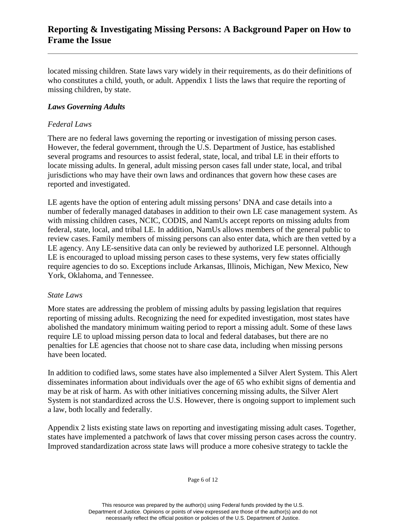located missing children. State laws vary widely in their requirements, as do their definitions of who constitutes a child, youth, or adult. Appendix 1 lists the laws that require the reporting of missing children, by state.

#### *Laws Governing Adults*

#### *Federal Laws*

There are no federal laws governing the reporting or investigation of missing person cases. However, the federal government, through the U.S. Department of Justice, has established several programs and resources to assist federal, state, local, and tribal LE in their efforts to locate missing adults. In general, adult missing person cases fall under state, local, and tribal jurisdictions who may have their own laws and ordinances that govern how these cases are reported and investigated.

LE agents have the option of entering adult missing persons' DNA and case details into a number of federally managed databases in addition to their own LE case management system. As with missing children cases, NCIC, CODIS, and NamUs accept reports on missing adults from federal, state, local, and tribal LE. In addition, NamUs allows members of the general public to review cases. Family members of missing persons can also enter data, which are then vetted by a LE agency. Any LE-sensitive data can only be reviewed by authorized LE personnel. Although LE is encouraged to upload missing person cases to these systems, very few states officially require agencies to do so. Exceptions include Arkansas, Illinois, Michigan, New Mexico, New York, Oklahoma, and Tennessee.

#### *State Laws*

More states are addressing the problem of missing adults by passing legislation that requires reporting of missing adults. Recognizing the need for expedited investigation, most states have abolished the mandatory minimum waiting period to report a missing adult. Some of these laws require LE to upload missing person data to local and federal databases, but there are no penalties for LE agencies that choose not to share case data, including when missing persons have been located.

In addition to codified laws, some states have also implemented a Silver Alert System. This Alert disseminates information about individuals over the age of 65 who exhibit signs of dementia and may be at risk of harm. As with other initiatives concerning missing adults, the Silver Alert System is not standardized across the U.S. However, there is ongoing support to implement such a law, both locally and federally.

Appendix 2 lists existing state laws on reporting and investigating missing adult cases. Together, states have implemented a patchwork of laws that cover missing person cases across the country. Improved standardization across state laws will produce a more cohesive strategy to tackle the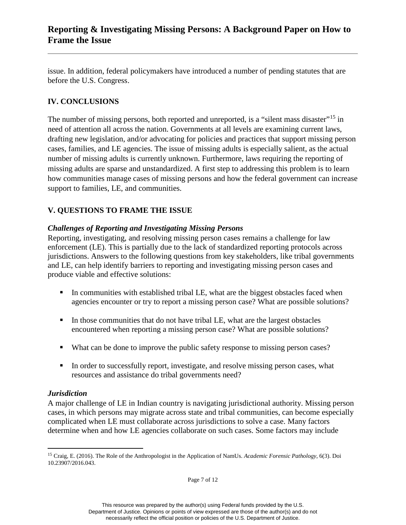issue. In addition, federal policymakers have introduced a number of pending statutes that are before the U.S. Congress.

## **IV. CONCLUSIONS**

The number of missing persons, both reported and unreported, is a "silent mass disaster"<sup>[15](#page-8-0)</sup> in need of attention all across the nation. Governments at all levels are examining current laws, drafting new legislation, and/or advocating for policies and practices that support missing person cases, families, and LE agencies. The issue of missing adults is especially salient, as the actual number of missing adults is currently unknown. Furthermore, laws requiring the reporting of missing adults are sparse and unstandardized. A first step to addressing this problem is to learn how communities manage cases of missing persons and how the federal government can increase support to families, LE, and communities.

## **V. QUESTIONS TO FRAME THE ISSUE**

## *Challenges of Reporting and Investigating Missing Persons*

Reporting, investigating, and resolving missing person cases remains a challenge for law enforcement (LE). This is partially due to the lack of standardized reporting protocols across jurisdictions. Answers to the following questions from key stakeholders, like tribal governments and LE, can help identify barriers to reporting and investigating missing person cases and produce viable and effective solutions:

- In communities with established tribal LE, what are the biggest obstacles faced when agencies encounter or try to report a missing person case? What are possible solutions?
- In those communities that do not have tribal LE, what are the largest obstacles encountered when reporting a missing person case? What are possible solutions?
- What can be done to improve the public safety response to missing person cases?
- In order to successfully report, investigate, and resolve missing person cases, what resources and assistance do tribal governments need?

#### *Jurisdiction*

 $\overline{a}$ 

A major challenge of LE in Indian country is navigating jurisdictional authority. Missing person cases, in which persons may migrate across state and tribal communities, can become especially complicated when LE must collaborate across jurisdictions to solve a case. Many factors determine when and how LE agencies collaborate on such cases. Some factors may include

<span id="page-8-0"></span><sup>15</sup> Craig, E. (2016). The Role of the Anthropologist in the Application of NamUs. *Academic Forensic Pathology*, 6(3). Doi 10.23907/2016.043.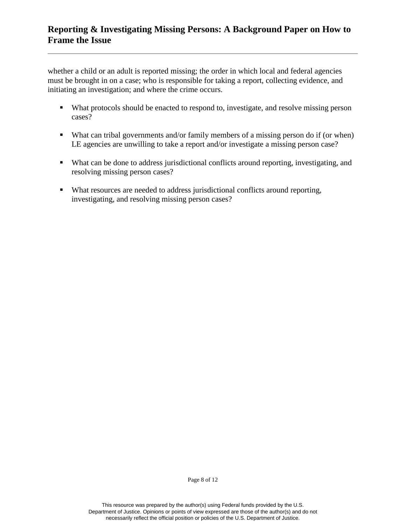whether a child or an adult is reported missing; the order in which local and federal agencies must be brought in on a case; who is responsible for taking a report, collecting evidence, and initiating an investigation; and where the crime occurs.

- What protocols should be enacted to respond to, investigate, and resolve missing person cases?
- What can tribal governments and/or family members of a missing person do if (or when) LE agencies are unwilling to take a report and/or investigate a missing person case?
- What can be done to address jurisdictional conflicts around reporting, investigating, and resolving missing person cases?
- What resources are needed to address jurisdictional conflicts around reporting, investigating, and resolving missing person cases?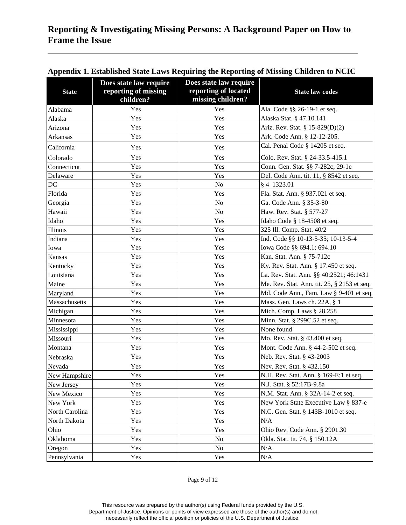| <b>State</b>   | Does state law require<br>reporting of missing<br>children? | Does state law require<br>reporting of located<br>missing children? | <b>State law codes</b>                      |
|----------------|-------------------------------------------------------------|---------------------------------------------------------------------|---------------------------------------------|
| Alabama        | Yes                                                         | Yes                                                                 | Ala. Code §§ 26-19-1 et seq.                |
| Alaska         | Yes                                                         | Yes                                                                 | Alaska Stat. § 47.10.141                    |
| Arizona        | Yes                                                         | Yes                                                                 | Ariz. Rev. Stat. § 15-829(D)(2)             |
| Arkansas       | Yes                                                         | Yes                                                                 | Ark. Code Ann. § 12-12-205.                 |
| California     | Yes                                                         | Yes                                                                 | Cal. Penal Code § 14205 et seq.             |
| Colorado       | Yes                                                         | Yes                                                                 | Colo. Rev. Stat. § 24-33.5-415.1            |
| Connecticut    | Yes                                                         | Yes                                                                 | Conn. Gen. Stat. §§ 7-282c; 29-1e           |
| Delaware       | Yes                                                         | Yes                                                                 | Del. Code Ann. tit. 11, § 8542 et seq.      |
| $\rm DC$       | Yes                                                         | No                                                                  | $§$ 4-1323.01                               |
| Florida        | Yes                                                         | Yes                                                                 | Fla. Stat. Ann. § 937.021 et seq.           |
| Georgia        | Yes                                                         | N <sub>o</sub>                                                      | Ga. Code Ann. § 35-3-80                     |
| Hawaii         | Yes                                                         | No                                                                  | Haw. Rev. Stat. § 577-27                    |
| Idaho          | Yes                                                         | Yes                                                                 | Idaho Code § 18-4508 et seq.                |
| Illinois       | Yes                                                         | Yes                                                                 | 325 Ill. Comp. Stat. 40/2                   |
| Indiana        | Yes                                                         | Yes                                                                 | Ind. Code §§ 10-13-5-35; 10-13-5-4          |
| Iowa           | Yes                                                         | Yes                                                                 | Iowa Code §§ 694.1; 694.10                  |
| Kansas         | Yes                                                         | Yes                                                                 | Kan. Stat. Ann. § 75-712c                   |
| Kentucky       | Yes                                                         | Yes                                                                 | Ky. Rev. Stat. Ann. § 17.450 et seq.        |
| Louisiana      | Yes                                                         | Yes                                                                 | La. Rev. Stat. Ann. §§ 40:2521; 46:1431     |
| Maine          | Yes                                                         | Yes                                                                 | Me. Rev. Stat. Ann. tit. 25, § 2153 et seq. |
| Maryland       | Yes                                                         | Yes                                                                 | Md. Code Ann., Fam. Law § 9-401 et seq.     |
| Massachusetts  | Yes                                                         | Yes                                                                 | Mass. Gen. Laws ch. 22A, § 1                |
| Michigan       | Yes                                                         | Yes                                                                 | Mich. Comp. Laws § 28.258                   |
| Minnesota      | Yes                                                         | Yes                                                                 | Minn. Stat. § 299C.52 et seq.               |
| Mississippi    | Yes                                                         | Yes                                                                 | None found                                  |
| Missouri       | Yes                                                         | Yes                                                                 | Mo. Rev. Stat. § 43.400 et seq.             |
| Montana        | Yes                                                         | Yes                                                                 | Mont. Code Ann. § 44-2-502 et seq.          |
| Nebraska       | Yes                                                         | Yes                                                                 | Neb. Rev. Stat. § 43-2003                   |
| Nevada         | Yes                                                         | Yes                                                                 | Nev. Rev. Stat. § 432.150                   |
| New Hampshire  | Yes                                                         | Yes                                                                 | N.H. Rev. Stat. Ann. § 169-E:1 et seq.      |
| New Jersey     | Yes                                                         | Yes                                                                 | N.J. Stat. § 52:17B-9.8a                    |
| New Mexico     | Yes                                                         | Yes                                                                 | N.M. Stat. Ann. § 32A-14-2 et seq.          |
| New York       | Yes                                                         | Yes                                                                 | New York State Executive Law § 837-e        |
| North Carolina | Yes                                                         | Yes                                                                 | N.C. Gen. Stat. § 143B-1010 et seq.         |
| North Dakota   | Yes                                                         | Yes                                                                 | N/A                                         |
| Ohio           | Yes                                                         | Yes                                                                 | Ohio Rev. Code Ann. § 2901.30               |
| Oklahoma       | Yes                                                         | No                                                                  | Okla. Stat. tit. 74, § 150.12A              |
| Oregon         | Yes                                                         | No                                                                  | N/A                                         |
| Pennsylvania   | Yes                                                         | Yes                                                                 | N/A                                         |

## **Appendix 1. Established State Laws Requiring the Reporting of Missing Children to NCIC**

Page 9 of 12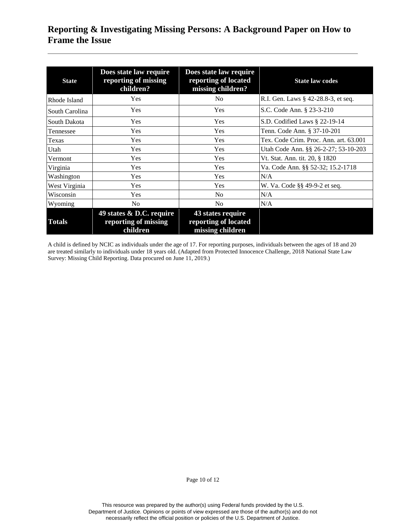| <b>State</b>   | Does state law require<br>reporting of missing<br>children?  | Does state law require<br>reporting of located<br>missing children? | <b>State law codes</b>                 |
|----------------|--------------------------------------------------------------|---------------------------------------------------------------------|----------------------------------------|
| Rhode Island   | <b>Yes</b>                                                   | N <sub>0</sub>                                                      | R.I. Gen. Laws § 42-28.8-3, et seq.    |
| South Carolina | <b>Yes</b>                                                   | Yes                                                                 | S.C. Code Ann. § 23-3-210              |
| South Dakota   | Yes                                                          | Yes                                                                 | S.D. Codified Laws $\S$ 22-19-14       |
| Tennessee      | <b>Yes</b>                                                   | Yes                                                                 | Tenn. Code Ann. § 37-10-201            |
| Texas          | <b>Yes</b>                                                   | Yes                                                                 | Tex. Code Crim. Proc. Ann. art. 63.001 |
| Utah           | <b>Yes</b>                                                   | Yes                                                                 | Utah Code Ann. §§ 26-2-27; 53-10-203   |
| Vermont        | Yes                                                          | Yes                                                                 | Vt. Stat. Ann. tit. 20, § 1820         |
| Virginia       | <b>Yes</b>                                                   | Yes                                                                 | Va. Code Ann. §§ 52-32; 15.2-1718      |
| Washington     | Yes                                                          | Yes                                                                 | N/A                                    |
| West Virginia  | Yes                                                          | Yes                                                                 | W. Va. Code §§ 49-9-2 et seq.          |
| Wisconsin      | Yes                                                          | N <sub>0</sub>                                                      | N/A                                    |
| Wyoming        | N <sub>0</sub>                                               | N <sub>o</sub>                                                      | N/A                                    |
| <b>Totals</b>  | 49 states & D.C. require<br>reporting of missing<br>children | 43 states require<br>reporting of located<br>missing children       |                                        |

A child is defined by NCIC as individuals under the age of 17. For reporting purposes, individuals between the ages of 18 and 20 are treated similarly to individuals under 18 years old. (Adapted from Protected Innocence Challenge, 2018 National State Law Survey: Missing Child Reporting. Data procured on June 11, 2019.)

Page 10 of 12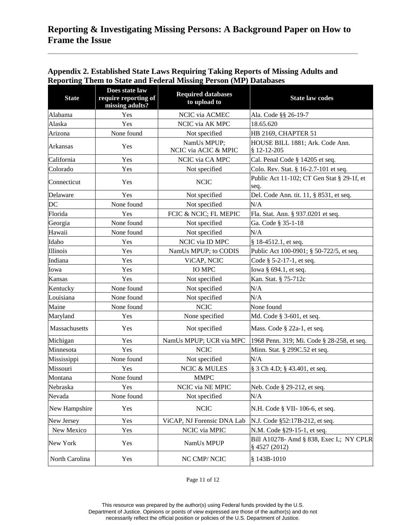| <b>State</b>    | Does state law<br>require reporting of<br>missing adults? | <b>Required databases</b><br>to upload to | <b>State law codes</b>                                   |
|-----------------|-----------------------------------------------------------|-------------------------------------------|----------------------------------------------------------|
| Alabama         | Yes                                                       | NCIC via ACMEC                            | Ala. Code §§ 26-19-7                                     |
| Alaska          | Yes                                                       | NCIC via AK MPC                           | 18.65.620                                                |
| Arizona         | None found                                                | Not specified                             | HB 2169, CHAPTER 51                                      |
| <b>Arkansas</b> | Yes                                                       | NamUs MPUP;<br>NCIC via ACIC & MPIC       | HOUSE BILL 1881; Ark. Code Ann.<br>§ 12-12-205           |
| California      | Yes                                                       | NCIC via CA MPC                           | Cal. Penal Code § 14205 et seq.                          |
| Colorado        | Yes                                                       | Not specified                             | Colo. Rev. Stat. § 16-2.7-101 et seq.                    |
| Connecticut     | Yes                                                       | <b>NCIC</b>                               | Public Act 11-102; CT Gen Stat § 29-1f, et<br>seq.       |
| Delaware        | Yes                                                       | Not specified                             | Del. Code Ann. tit. 11, § 8531, et seq.                  |
| DC              | None found                                                | Not specified                             | N/A                                                      |
| Florida         | Yes                                                       | FCIC & NCIC; FL MEPIC                     | Fla. Stat. Ann. § 937.0201 et seq.                       |
| Georgia         | None found                                                | Not specified                             | Ga. Code § 35-1-18                                       |
| Hawaii          | None found                                                | Not specified                             | N/A                                                      |
| Idaho           | Yes                                                       | NCIC via ID MPC                           | § 18-4512.1, et seq.                                     |
| Illinois        | Yes                                                       | NamUs MPUP; to CODIS                      | Public Act 100-0901; § 50-722/5, et seq.                 |
| Indiana         | Yes                                                       | ViCAP, NCIC                               | Code $§$ 5-2-17-1, et seq.                               |
| Iowa            | Yes                                                       | <b>IO MPC</b>                             | Iowa § 694.1, et seq.                                    |
| Kansas          | Yes                                                       | Not specified                             | Kan. Stat. § 75-712c                                     |
| Kentucky        | None found                                                | Not specified                             | N/A                                                      |
| Louisiana       | None found                                                | Not specified                             | N/A                                                      |
| Maine           | None found                                                | <b>NCIC</b>                               | None found                                               |
| Maryland        | Yes                                                       | None specified                            | Md. Code § 3-601, et seq.                                |
| Massachusetts   | Yes                                                       | Not specified                             | Mass. Code $\S$ 22a-1, et seq.                           |
| Michigan        | Yes                                                       | NamUs MPUP; UCR via MPC                   | 1968 Penn. 319; Mi. Code § 28-258, et seq.               |
| Minnesota       | Yes                                                       | <b>NCIC</b>                               | Minn. Stat. § 299C.52 et seq.                            |
| Mississippi     | None found                                                | Not specified                             | N/A                                                      |
| Missouri        | Yes                                                       | <b>NCIC &amp; MULES</b>                   | § 3 Ch 4.D; § 43.401, et seq.                            |
| Montana         | None found                                                | <b>MMPC</b>                               |                                                          |
| Nebraska        | Yes                                                       | NCIC via NE MPIC                          | Neb. Code § 29-212, et seq.                              |
| Nevada          | None found                                                | Not specified                             | N/A                                                      |
| New Hampshire   | Yes                                                       | <b>NCIC</b>                               | N.H. Code § VII-106-6, et seq.                           |
| New Jersey      | Yes                                                       | ViCAP, NJ Forensic DNA Lab                | N.J. Code §52:17B-212, et seq.                           |
| New Mexico      | Yes                                                       | NCIC via MPIC                             | N.M. Code §29-15-1, et seq.                              |
| New York        | Yes                                                       | NamUs MPUP                                | Bill A10278- Amd § 838, Exec L; NY CPLR<br>§ 4527 (2012) |
| North Carolina  | Yes                                                       | NC CMP/NCIC                               | $$143B-1010$                                             |

#### **Appendix 2. Established State Laws Requiring Taking Reports of Missing Adults and Reporting Them to State and Federal Missing Person (MP) Databases**

Page 11 of 12